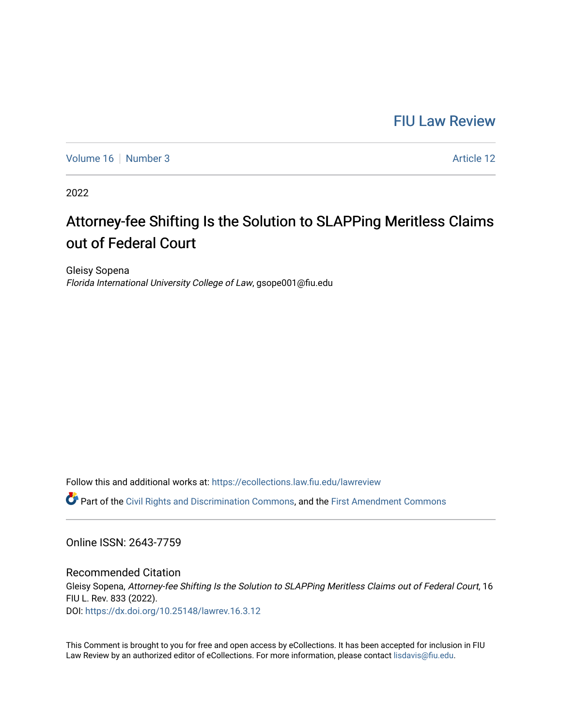# [FIU Law Review](https://ecollections.law.fiu.edu/lawreview)

[Volume 16](https://ecollections.law.fiu.edu/lawreview/vol16) [Number 3](https://ecollections.law.fiu.edu/lawreview/vol16/iss3) Article 12

2022

# Attorney-fee Shifting Is the Solution to SLAPPing Meritless Claims out of Federal Court

Gleisy Sopena Florida International University College of Law, gsope001@fiu.edu

Follow this and additional works at: [https://ecollections.law.fiu.edu/lawreview](https://ecollections.law.fiu.edu/lawreview?utm_source=ecollections.law.fiu.edu%2Flawreview%2Fvol16%2Fiss3%2F12&utm_medium=PDF&utm_campaign=PDFCoverPages)

Part of the [Civil Rights and Discrimination Commons,](https://network.bepress.com/hgg/discipline/585?utm_source=ecollections.law.fiu.edu%2Flawreview%2Fvol16%2Fiss3%2F12&utm_medium=PDF&utm_campaign=PDFCoverPages) and the [First Amendment Commons](https://network.bepress.com/hgg/discipline/1115?utm_source=ecollections.law.fiu.edu%2Flawreview%2Fvol16%2Fiss3%2F12&utm_medium=PDF&utm_campaign=PDFCoverPages)

Online ISSN: 2643-7759

Recommended Citation Gleisy Sopena, Attorney-fee Shifting Is the Solution to SLAPPing Meritless Claims out of Federal Court, 16 FIU L. Rev. 833 (2022). DOI:<https://dx.doi.org/10.25148/lawrev.16.3.12>

This Comment is brought to you for free and open access by eCollections. It has been accepted for inclusion in FIU Law Review by an authorized editor of eCollections. For more information, please contact [lisdavis@fiu.edu](mailto:lisdavis@fiu.edu).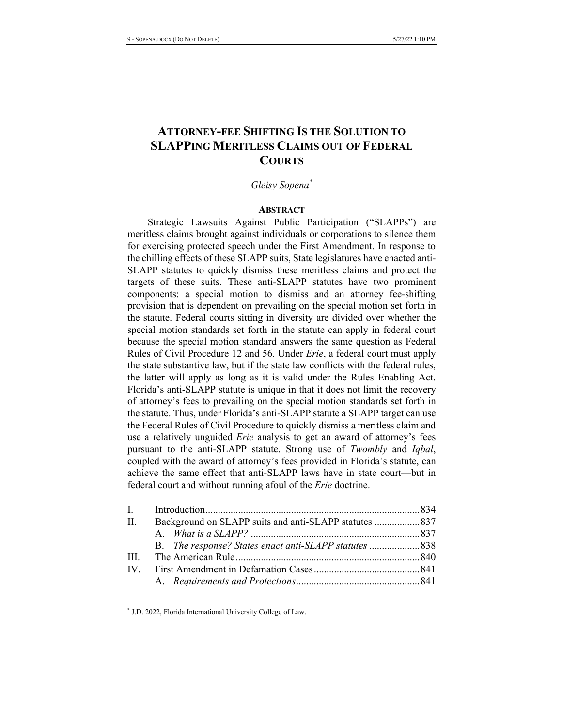# **ATTORNEY-FEE SHIFTING IS THE SOLUTION TO** SLAPPING MERITLESS CLAIMS OUT OF FEDERAL **COURTS**

# $G$ *leisy Sopena*\*

#### **ABSTRACT**

Strategic Lawsuits Against Public Participation ("SLAPPs") are meritless claims brought against individuals or corporations to silence them for exercising protected speech under the First Amendment. In response to the chilling effects of these SLAPP suits, State legislatures have enacted anti-SLAPP statutes to quickly dismiss these meritless claims and protect the targets of these suits. These anti-SLAPP statutes have two prominent components: a special motion to dismiss and an attorney fee-shifting provision that is dependent on prevailing on the special motion set forth in the statute. Federal courts sitting in diversity are divided over whether the special motion standards set forth in the statute can apply in federal court because the special motion standard answers the same question as Federal Rules of Civil Procedure 12 and 56. Under *Erie*, a federal court must apply the state substantive law, but if the state law conflicts with the federal rules, the latter will apply as long as it is valid under the Rules Enabling Act. Florida's anti-SLAPP statute is unique in that it does not limit the recovery of attorney's fees to prevailing on the special motion standards set forth in the statute. Thus, under Florida's anti-SLAPP statute a SLAPP target can use the Federal Rules of Civil Procedure to quickly dismiss a meritless claim and use a relatively unguided *Erie* analysis to get an award of attorney's fees pursuant to the anti-SLAPP statute. Strong use of *Twombly* and *Iqbal*, coupled with the award of attorney's fees provided in Florida's statute, can achieve the same effect that anti-SLAPP laws have in state court—but in federal court and without running afoul of the *Erie* doctrine.

| $\Pi$ . | Background on SLAPP suits and anti-SLAPP statutes  837 |  |
|---------|--------------------------------------------------------|--|
|         |                                                        |  |
|         |                                                        |  |
| III     |                                                        |  |
|         |                                                        |  |
|         |                                                        |  |
|         |                                                        |  |

 $*$  J.D. 2022, Florida International University College of Law.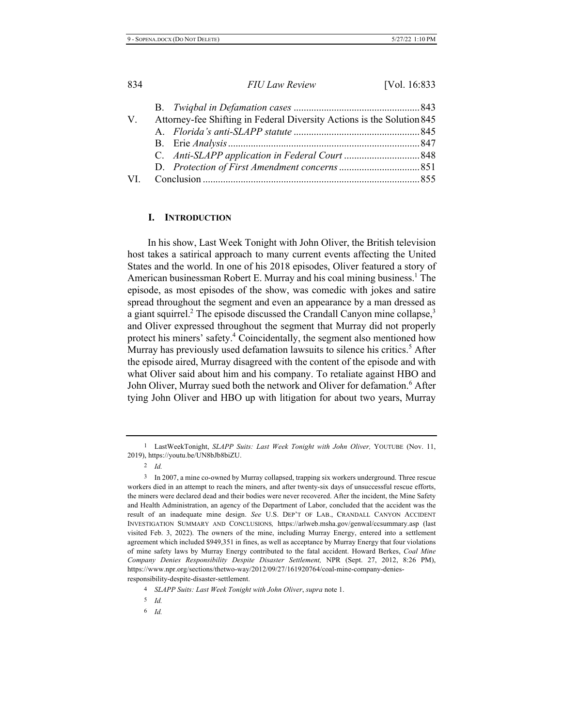| V. | Attorney-fee Shifting in Federal Diversity Actions is the Solution 845 |  |
|----|------------------------------------------------------------------------|--|
|    |                                                                        |  |
|    |                                                                        |  |
|    |                                                                        |  |
|    |                                                                        |  |
|    |                                                                        |  |
|    |                                                                        |  |

# **I.** INTRODUCTION

In his show, Last Week Tonight with John Oliver, the British television host takes a satirical approach to many current events affecting the United States and the world. In one of his 2018 episodes, Oliver featured a story of American businessman Robert E. Murray and his coal mining business.<sup>1</sup> The episode, as most episodes of the show, was comedic with jokes and satire spread throughout the segment and even an appearance by a man dressed as a giant squirrel.<sup>2</sup> The episode discussed the Crandall Canyon mine collapse,<sup>3</sup> and Oliver expressed throughout the segment that Murray did not properly protect his miners' safety.<sup>4</sup> Coincidentally, the segment also mentioned how Murray has previously used defamation lawsuits to silence his critics.<sup>5</sup> After the episode aired, Murray disagreed with the content of the episode and with what Oliver said about him and his company. To retaliate against HBO and John Oliver, Murray sued both the network and Oliver for defamation.<sup>6</sup> After tying John Oliver and HBO up with litigation for about two years, Murray

2  $\overline{1}d$ 

*\$*

<sup>&</sup>lt;sup>1</sup> LastWeekTonight, SLAPP Suits: Last Week Tonight with John Oliver, YOUTUBE (Nov. 11, 2019), https://youtu.be/UN8bJb8biZU.

<sup>3</sup> In 2007, a mine co-owned by Murray collapsed, trapping six workers underground. Three rescue workers died in an attempt to reach the miners, and after twenty-six days of unsuccessful rescue efforts, the miners were declared dead and their bodies were never recovered. After the incident, the Mine Safety and Health Administration, an agency of the Department of Labor, concluded that the accident was the result of an inadequate mine design. See U.S. DEP'T OF LAB., CRANDALL CANYON ACCIDENT INVESTIGATION SUMMARY AND CONCLUSIONS, https://arlweb.msha.gov/genwal/ccsummary.asp (last visited Feb. 3, 2022). The owners of the mine, including Murray Energy, entered into a settlement agreement which included \$949,351 in fines, as well as acceptance by Murray Energy that four violations of mine safety laws by Murray Energy contributed to the fatal accident. Howard Berkes, Coal Mine Company Denies Responsibility Despite Disaster Settlement, NPR (Sept. 27, 2012, 8:26 PM), https://www.npr.org/sections/thetwo-way/2012/09/27/161920764/coal-mine-company-deniesresponsibility-despite-disaster-settlement.

<sup>&</sup>lt;sup>4</sup> *SLAPP Suits: Last Week Tonight with John Oliver, supra note 1.* 

*\$*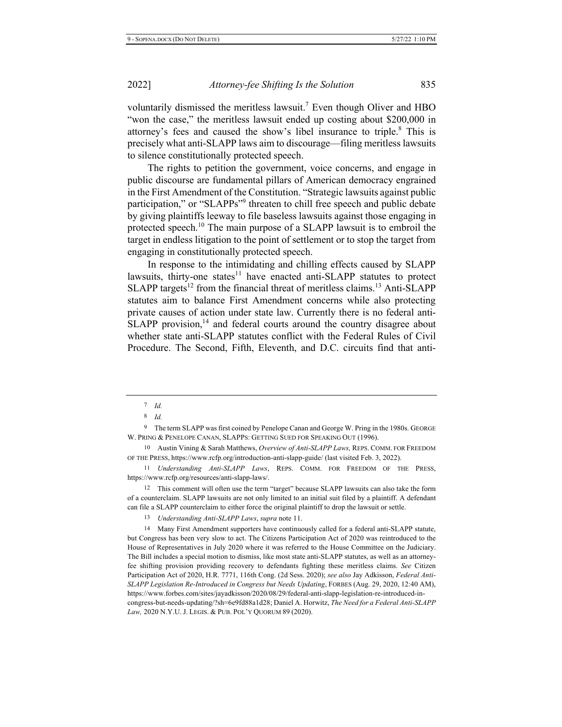voluntarily dismissed the meritless lawsuit.<sup>7</sup> Even though Oliver and HBO "won the case," the meritless lawsuit ended up costing about \$200,000 in attorney's fees and caused the show's libel insurance to triple.<sup>8</sup> This is precisely what anti-SLAPP laws aim to discourage—filing meritless lawsuits to silence constitutionally protected speech.

The rights to petition the government, voice concerns, and engage in public discourse are fundamental pillars of American democracy engrained in the First Amendment of the Constitution. "Strategic lawsuits against public participation," or "SLAPPs"<sup>9</sup> threaten to chill free speech and public debate by giving plaintiffs leeway to file baseless lawsuits against those engaging in protected speech.<sup>10</sup> The main purpose of a SLAPP lawsuit is to embroil the target in endless litigation to the point of settlement or to stop the target from engaging in constitutionally protected speech.

In response to the intimidating and chilling effects caused by SLAPP lawsuits, thirty-one states<sup>11</sup> have enacted anti-SLAPP statutes to protect SLAPP targets<sup>12</sup> from the financial threat of meritless claims.<sup>13</sup> Anti-SLAPP statutes aim to balance First Amendment concerns while also protecting private causes of action under state law. Currently there is no federal anti- $SLAPP$  provision,<sup>14</sup> and federal courts around the country disagree about whether state anti-SLAPP statutes conflict with the Federal Rules of Civil Procedure. The Second, Fifth, Eleventh, and D.C. circuits find that anti-

9 The term SLAPP was first coined by Penelope Canan and George W. Pring in the 1980s. GEORGE W. PRING & PENELOPE CANAN, SLAPPS: GETTING SUED FOR SPEAKING OUT (1996).

<sup>12</sup> This comment will often use the term "target" because SLAPP lawsuits can also take the form of a counterclaim. SLAPP lawsuits are not only limited to an initial suit filed by a plaintiff. A defendant can file a SLAPP counterclaim to either force the original plaintiff to drop the lawsuit or settle.

13 *Understanding Anti-SLAPP Laws, supra* note 11.

<sup>14</sup> Many First Amendment supporters have continuously called for a federal anti-SLAPP statute, but Congress has been very slow to act. The Citizens Participation Act of 2020 was reintroduced to the House of Representatives in July 2020 where it was referred to the House Committee on the Judiciary. The Bill includes a special motion to dismiss, like most state anti-SLAPP statutes, as well as an attorneyfee shifting provision providing recovery to defendants fighting these meritless claims. See Citizen Participation Act of 2020, H.R. 7771, 116th Cong. (2d Sess. 2020); see also Jay Adkisson, Federal Anti-SLAPP Legislation Re-Introduced in Congress but Needs Updating, FORBES (Aug. 29, 2020, 12:40 AM), https://www.forbes.com/sites/jayadkisson/2020/08/29/federal-anti-slapp-legislation-re-introduced-incongress-but-needs-updating/?sh=6e9fd88a1d28; Daniel A. Horwitz, The Need for a Federal Anti-SLAPP Law, 2020 N.Y.U. J. LEGIS. & PUB. POL'Y QUORUM 89 (2020).

 $7$  *Id.* 

 *\$*

<sup>10</sup> Austin Vining & Sarah Matthews, Overview of Anti-SLAPP Laws, REPS. COMM. FOR FREEDOM OF THE PRESS, https://www.rcfp.org/introduction-anti-slapp-guide/ (last visited Feb. 3, 2022).

<sup>11</sup> Understanding Anti-SLAPP Laws, REPS. COMM. FOR FREEDOM OF THE PRESS, https://www.rcfp.org/resources/anti-slapp-laws/.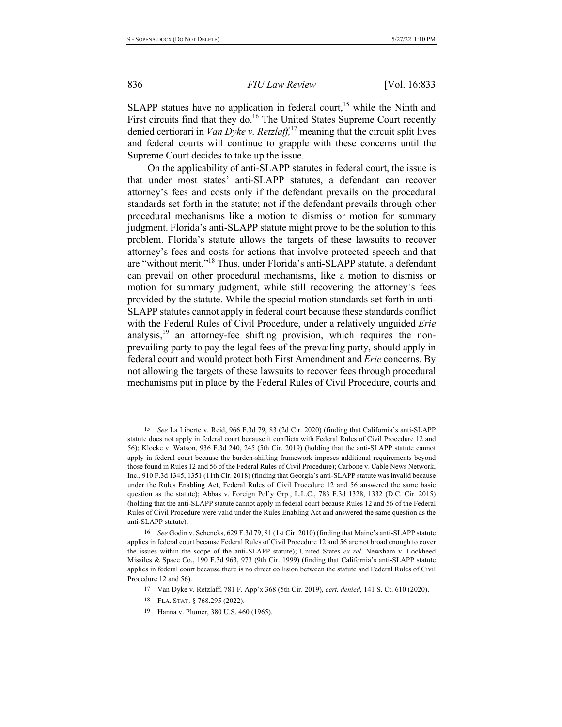SLAPP statues have no application in federal court,<sup>15</sup> while the Ninth and First circuits find that they do.<sup>16</sup> The United States Supreme Court recently denied certiorari in *Van Dyke v. Retzlaff*,<sup>17</sup> meaning that the circuit split lives and federal courts will continue to grapple with these concerns until the Supreme Court decides to take up the issue.

On the applicability of anti-SLAPP statutes in federal court, the issue is that under most states' anti-SLAPP statutes, a defendant can recover attorney's fees and costs only if the defendant prevails on the procedural standards set forth in the statute; not if the defendant prevails through other procedural mechanisms like a motion to dismiss or motion for summary judgment. Florida's anti-SLAPP statute might prove to be the solution to this problem. Florida's statute allows the targets of these lawsuits to recover attorney's fees and costs for actions that involve protected speech and that are "without merit."<sup>18</sup> Thus, under Florida's anti-SLAPP statute, a defendant can prevail on other procedural mechanisms, like a motion to dismiss or motion for summary judgment, while still recovering the attorney's fees provided by the statute. While the special motion standards set forth in anti- $SLAPP$  statutes cannot apply in federal court because these standards conflict with the Federal Rules of Civil Procedure, under a relatively unguided Erie analysis, $^{19}$  an attorney-fee shifting provision, which requires the nonprevailing party to pay the legal fees of the prevailing party, should apply in federal court and would protect both First Amendment and *Erie* concerns. By not allowing the targets of these lawsuits to recover fees through procedural mechanisms put in place by the Federal Rules of Civil Procedure, courts and

<sup>&</sup>lt;sup>15</sup> See La Liberte v. Reid, 966 F.3d 79, 83 (2d Cir. 2020) (finding that California's anti-SLAPP statute does not apply in federal court because it conflicts with Federal Rules of Civil Procedure 12 and 56); Klocke v. Watson, 936 F.3d 240, 245 (5th Cir. 2019) (holding that the anti-SLAPP statute cannot apply in federal court because the burden-shifting framework imposes additional requirements beyond those found in Rules 12 and 56 of the Federal Rules of Civil Procedure); Carbone v. Cable News Network, Inc., 910 F.3d 1345, 1351 (11th Cir. 2018) (finding that Georgia's anti-SLAPP statute was invalid because under the Rules Enabling Act, Federal Rules of Civil Procedure 12 and 56 answered the same basic question as the statute); Abbas v. Foreign Pol'y Grp., L.L.C., 783 F.3d 1328, 1332 (D.C. Cir. 2015) (holding that the anti-SLAPP statute cannot apply in federal court because Rules 12 and 56 of the Federal Rules of Civil Procedure were valid under the Rules Enabling Act and answered the same question as the anti-SLAPP statute).

<sup>&</sup>lt;sup>16</sup> See Godin v. Schencks, 629 F.3d 79, 81 (1st Cir. 2010) (finding that Maine's anti-SLAPP statute applies in federal court because Federal Rules of Civil Procedure 12 and 56 are not broad enough to cover the issues within the scope of the anti-SLAPP statute); United States ex rel. Newsham v. Lockheed Missiles & Space Co., 190 F.3d 963, 973 (9th Cir. 1999) (finding that California's anti-SLAPP statute applies in federal court because there is no direct collision between the statute and Federal Rules of Civil Procedure 12 and 56).

<sup>&</sup>lt;sup>17</sup> Van Dyke v. Retzlaff, 781 F. App'x 368 (5th Cir. 2019), cert. denied, 141 S. Ct. 610 (2020).

<sup>18</sup> FLA. STAT. § 768.295 (2022).

<sup>19</sup> Hanna v. Plumer, 380 U.S. 460 (1965).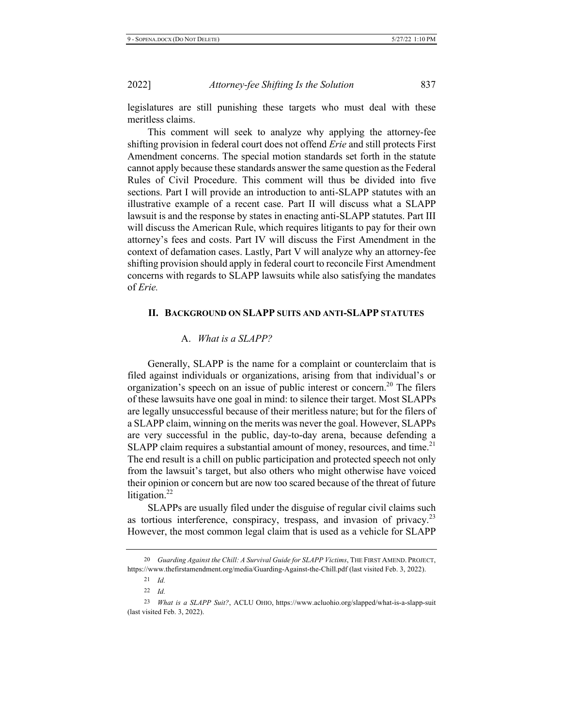legislatures are still punishing these targets who must deal with these meritless claims.

This comment will seek to analyze why applying the attorney-fee shifting provision in federal court does not offend *Erie* and still protects First Amendment concerns. The special motion standards set forth in the statute cannot apply because these standards answer the same question as the Federal Rules of Civil Procedure. This comment will thus be divided into five sections. Part I will provide an introduction to anti-SLAPP statutes with an illustrative example of a recent case. Part II will discuss what a SLAPP lawsuit is and the response by states in enacting anti-SLAPP statutes. Part III will discuss the American Rule, which requires litigants to pay for their own attorney's fees and costs. Part IV will discuss the First Amendment in the context of defamation cases. Lastly, Part V will analyze why an attorney-fee shifting provision should apply in federal court to reconcile First Amendment concerns with regards to SLAPP lawsuits while also satisfying the mandates of *Erie*.

# II. BACKGROUND ON SLAPP SUITS AND ANTI-SLAPP STATUTES

#### A. *What is a SLAPP?*

Generally, SLAPP is the name for a complaint or counterclaim that is filed against individuals or organizations, arising from that individual's or organization's speech on an issue of public interest or concern.<sup>20</sup> The filers of these lawsuits have one goal in mind: to silence their target. Most SLAPPs are legally unsuccessful because of their meritless nature; but for the filers of a SLAPP claim, winning on the merits was never the goal. However, SLAPPs are very successful in the public, day-to-day arena, because defending a  $SLAPP$  claim requires a substantial amount of money, resources, and time.<sup>21</sup> The end result is a chill on public participation and protected speech not only from the lawsuit's target, but also others who might otherwise have voiced their opinion or concern but are now too scared because of the threat of future litigation. $^{22}$ 

SLAPPs are usually filed under the disguise of regular civil claims such as tortious interference, conspiracy, trespass, and invasion of privacy.<sup>23</sup> However, the most common legal claim that is used as a vehicle for SLAPP

<sup>&</sup>lt;sup>20</sup> Guarding Against the Chill: A Survival Guide for SLAPP Victims, THE FIRST AMEND. PROJECT, https://www.thefirstamendment.org/media/Guarding-Against-the-Chill.pdf (last visited Feb. 3, 2022).

<sup>21</sup> *Id.* 

<sup>22</sup> *Id.* 

<sup>&</sup>lt;sup>23</sup> What is a SLAPP Suit?, ACLU OHIO, https://www.acluohio.org/slapped/what-is-a-slapp-suit (last visited Feb. 3, 2022).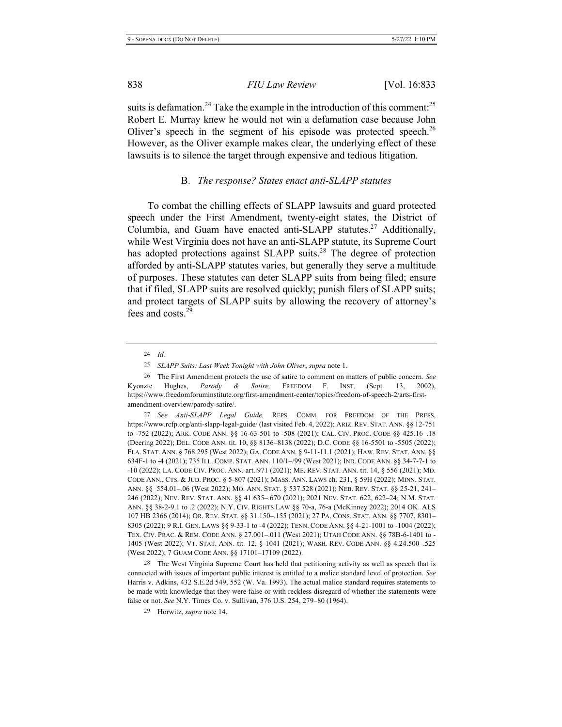suits is defamation.<sup>24</sup> Take the example in the introduction of this comment:<sup>25</sup> Robert E. Murray knew he would not win a defamation case because John Oliver's speech in the segment of his episode was protected speech.<sup>26</sup> However, as the Oliver example makes clear, the underlying effect of these lawsuits is to silence the target through expensive and tedious litigation.

#### **B.** *The response? States enact anti-SLAPP statutes*

To combat the chilling effects of SLAPP lawsuits and guard protected speech under the First Amendment, twenty-eight states, the District of Columbia, and Guam have enacted anti-SLAPP statutes.<sup>27</sup> Additionally, while West Virginia does not have an anti-SLAPP statute, its Supreme Court has adopted protections against SLAPP suits.<sup>28</sup> The degree of protection afforded by anti-SLAPP statutes varies, but generally they serve a multitude of purposes. These statutes can deter SLAPP suits from being filed; ensure that if filed, SLAPP suits are resolved quickly; punish filers of SLAPP suits; and protect targets of SLAPP suits by allowing the recovery of attorney's fees and costs. $29$ 

<sup>24</sup> *Id.* 

<sup>25</sup> *SLAPP Suits: Last Week Tonight with John Oliver, supra note 1.* 

<sup>&</sup>lt;sup>26</sup> The First Amendment protects the use of satire to comment on matters of public concern. See Kyonzte Hughes, *Parody & Satire*, FREEDOM F. INST. (Sept. 13,  $(02),$ https://www.freedomforuminstitute.org/first-amendment-center/topics/freedom-of-speech-2/arts-firstamendment-overview/parody-satire/.

<sup>27</sup> See Anti-SLAPP Legal Guide, REPS. COMM. FOR FREEDOM OF THE PRESS, https://www.rcfp.org/anti-slapp-legal-guide/ (last visited Feb. 4, 2022); ARIZ. REV. STAT. ANN. §§ 12-751 to -752 (2022); ARK. CODE ANN. §§ 16-63-501 to -508 (2021); CAL. CIV. PROC. CODE §§ 425.16-.18 (Deering 2022); DEL. CODE ANN. tit. 10, §§ 8136–8138 (2022); D.C. CODE §§ 16-5501 to -5505 (2022); FLA. STAT. ANN. § 768.295 (West 2022); GA. CODE ANN. § 9-11-11.1 (2021); HAW. REV. STAT. ANN. §§ 634F-1 to -4 (2021); 735 ILL. COMP. STAT. ANN. 110/1–/99 (West 2021); IND. CODE ANN. §§ 34-7-7-1 to -10 (2022); LA. CODE CIV. PROC. ANN. art. 971 (2021); ME. REV. STAT. ANN. tit. 14, § 556 (2021); MD. CODE ANN., CTS. & JUD. PROC. § 5-807 (2021); MASS. ANN. LAWS ch. 231, § 59H (2022); MINN. STAT. ANN. §§ 554.01–.06 (West 2022); Mo. ANN. STAT. § 537.528 (2021); NEB. REV. STAT. §§ 25-21, 241– 246 (2022); Nev. Rev. Stat. Ann. §§ 41.635–.670 (2021); 2021 Nev. Stat. 622, 622–24; N.M. Stat. ANN. §§ 38-2-9.1 to .2 (2022); N.Y. CIV. RIGHTS LAW §§ 70-a, 76-a (McKinney 2022); 2014 OK. ALS 107 HB 2366 (2014); OR. REV. STAT. §§ 31.150-.155 (2021); 27 PA. CONS. STAT. ANN. §§ 7707, 8301-8305 (2022); 9 R.I. GEN. LAWS §§ 9-33-1 to -4 (2022); TENN. CODE ANN. §§ 4-21-1001 to -1004 (2022); TEX. CIV. PRAC. & REM. CODE ANN. § 27.001–.011 (West 2021); UTAH CODE ANN. §§ 78B-6-1401 to -1405 (West 2022); VT. STAT. ANN. tit. 12, § 1041 (2021); WASH. REV. CODE ANN. §§ 4.24.500-.525 (West 2022); 7 GUAM CODE ANN. §§ 17101–17109 (2022).

<sup>28</sup> The West Virginia Supreme Court has held that petitioning activity as well as speech that is connected with issues of important public interest is entitled to a malice standard level of protection. See Harris v. Adkins, 432 S.E.2d 549, 552 (W. Va. 1993). The actual malice standard requires statements to be made with knowledge that they were false or with reckless disregard of whether the statements were false or not. See N.Y. Times Co. v. Sullivan, 376 U.S. 254, 279–80 (1964).

<sup>29</sup> Horwitz, *supra* note 14.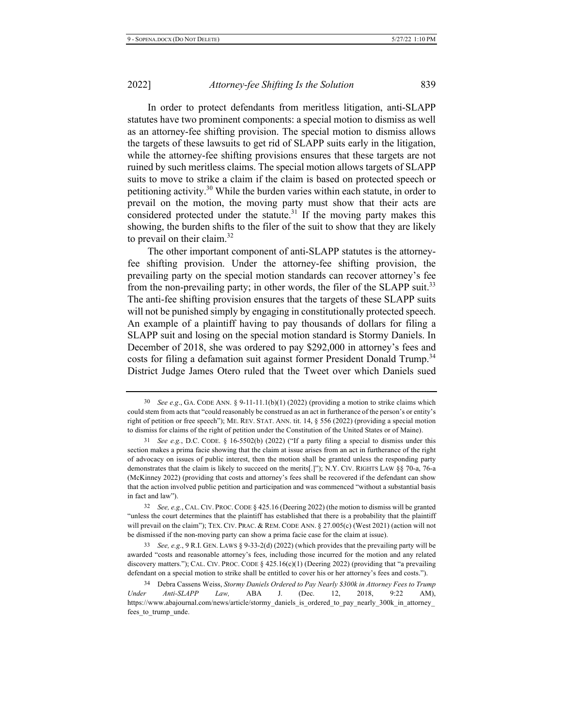In order to protect defendants from meritless litigation, anti-SLAPP statutes have two prominent components: a special motion to dismiss as well as an attorney-fee shifting provision. The special motion to dismiss allows the targets of these lawsuits to get rid of SLAPP suits early in the litigation, while the attorney-fee shifting provisions ensures that these targets are not ruined by such meritless claims. The special motion allows targets of SLAPP suits to move to strike a claim if the claim is based on protected speech or petitioning activity.<sup>30</sup> While the burden varies within each statute, in order to prevail on the motion, the moving party must show that their acts are considered protected under the statute.<sup>31</sup> If the moving party makes this showing, the burden shifts to the filer of the suit to show that they are likely to prevail on their claim.<sup>32</sup>

The other important component of anti-SLAPP statutes is the attorneyfee shifting provision. Under the attorney-fee shifting provision, the prevailing party on the special motion standards can recover attorney's fee from the non-prevailing party; in other words, the filer of the SLAPP suit.<sup>33</sup> The anti-fee shifting provision ensures that the targets of these SLAPP suits will not be punished simply by engaging in constitutionally protected speech. An example of a plaintiff having to pay thousands of dollars for filing a SLAPP suit and losing on the special motion standard is Stormy Daniels. In December of 2018, she was ordered to pay \$292,000 in attorney's fees and costs for filing a defamation suit against former President Donald Trump.<sup>34</sup> District Judge James Otero ruled that the Tweet over which Daniels sued

33 See, e.g., 9 R.I. GEN. LAWS  $\S$  9-33-2(d) (2022) (which provides that the prevailing party will be awarded "costs and reasonable attorney's fees, including those incurred for the motion and any related discovery matters."); CAL. CIV. PROC. CODE  $\S$  425.16(c)(1) (Deering 2022) (providing that "a prevailing defendant on a special motion to strike shall be entitled to cover his or her attorney's fees and costs.").

 $30$  See e.g., GA. CODE ANN. §  $9-11-11.1(b)(1)$  (2022) (providing a motion to strike claims which could stem from acts that "could reasonably be construed as an act in furtherance of the person's or entity's right of petition or free speech"); ME. REV. STAT. ANN. tit.  $14, \S$  556 (2022) (providing a special motion to dismiss for claims of the right of petition under the Constitution of the United States or of Maine).

 $31$  See e.g., D.C. CODE. § 16-5502(b) (2022) ("If a party filing a special to dismiss under this section makes a prima facie showing that the claim at issue arises from an act in furtherance of the right of advocacy on issues of public interest, then the motion shall be granted unless the responding party demonstrates that the claim is likely to succeed on the merits[.]"); N.Y. CIV. RIGHTS LAW  $\S$  70-a, 76-a (McKinney 2022) (providing that costs and attorney's fees shall be recovered if the defendant can show that the action involved public petition and participation and was commenced "without a substantial basis in fact and law").

 $32$  See, e.g., CAL. CIV. PROC. CODE § 425.16 (Deering 2022) (the motion to dismiss will be granted "unless the court determines that the plaintiff has established that there is a probability that the plaintiff will prevail on the claim"); TEX. CIV. PRAC. & REM. CODE ANN. § 27.005(c) (West 2021) (action will not be dismissed if the non-moving party can show a prima facie case for the claim at issue).

<sup>&</sup>lt;sup>34</sup> Debra Cassens Weiss, *Stormy Daniels Ordered to Pay Nearly \$300k in Attorney Fees to Trump Under Anti-SLAPP Law*, ABA J. (Dec. 12, 2018,  $9:22$  AM), https://www.abajournal.com/news/article/stormy\_daniels\_is\_ordered\_to\_pay\_nearly\_300k\_in\_attorney\_ fees\_to\_trump\_unde.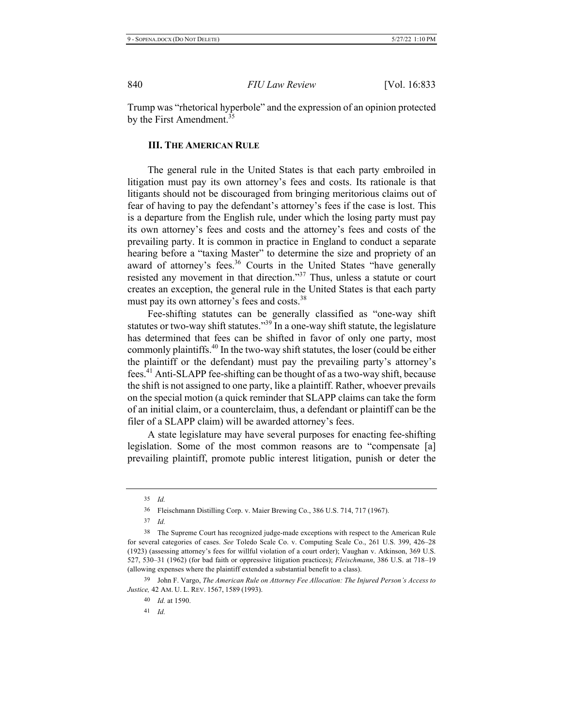Trump was "rhetorical hyperbole" and the expression of an opinion protected by the First Amendment.<sup>35</sup>

# **III.** THE AMERICAN RULE

The general rule in the United States is that each party embroiled in litigation must pay its own attorney's fees and costs. Its rationale is that litigants should not be discouraged from bringing meritorious claims out of fear of having to pay the defendant's attorney's fees if the case is lost. This is a departure from the English rule, under which the losing party must pay its own attorney's fees and costs and the attorney's fees and costs of the prevailing party. It is common in practice in England to conduct a separate hearing before a "taxing Master" to determine the size and propriety of an award of attorney's fees.<sup>36</sup> Courts in the United States "have generally resisted any movement in that direction."<sup>37</sup> Thus, unless a statute or court creates an exception, the general rule in the United States is that each party must pay its own attorney's fees and costs.<sup>38</sup>

Fee-shifting statutes can be generally classified as "one-way shift statutes or two-way shift statutes."<sup>39</sup> In a one-way shift statute, the legislature has determined that fees can be shifted in favor of only one party, most commonly plaintiffs.<sup>40</sup> In the two-way shift statutes, the loser (could be either the plaintiff or the defendant) must pay the prevailing party's attorney's fees.<sup>41</sup> Anti-SLAPP fee-shifting can be thought of as a two-way shift, because the shift is not assigned to one party, like a plaintiff. Rather, whoever prevails on the special motion (a quick reminder that SLAPP claims can take the form of an initial claim, or a counterclaim, thus, a defendant or plaintiff can be the filer of a SLAPP claim) will be awarded attorney's fees.

A state legislature may have several purposes for enacting fee-shifting legislation. Some of the most common reasons are to "compensate [a] prevailing plaintiff, promote public interest litigation, punish or deter the

<sup>35</sup> *Id.* 

<sup>36</sup> Fleischmann Distilling Corp. v. Maier Brewing Co., 386 U.S. 714, 717 (1967).

<sup>37</sup> *Id.* 

<sup>&</sup>lt;sup>38</sup> The Supreme Court has recognized judge-made exceptions with respect to the American Rule for several categories of cases. See Toledo Scale Co. v. Computing Scale Co., 261 U.S. 399, 426–28 (1923) (assessing attorney's fees for willful violation of a court order); Vaughan v. Atkinson, 369 U.S. 527, 530–31 (1962) (for bad faith or oppressive litigation practices); *Fleischmann*, 386 U.S. at 718–19 (allowing expenses where the plaintiff extended a substantial benefit to a class).

<sup>39</sup> John F. Vargo, *The American Rule on Attorney Fee Allocation: The Injured Person's Access to Justice*, 42 AM. U. L. REV. 1567, 1589 (1993).

<sup>40</sup> *Id.* at 1590.

 $41$  *Id.*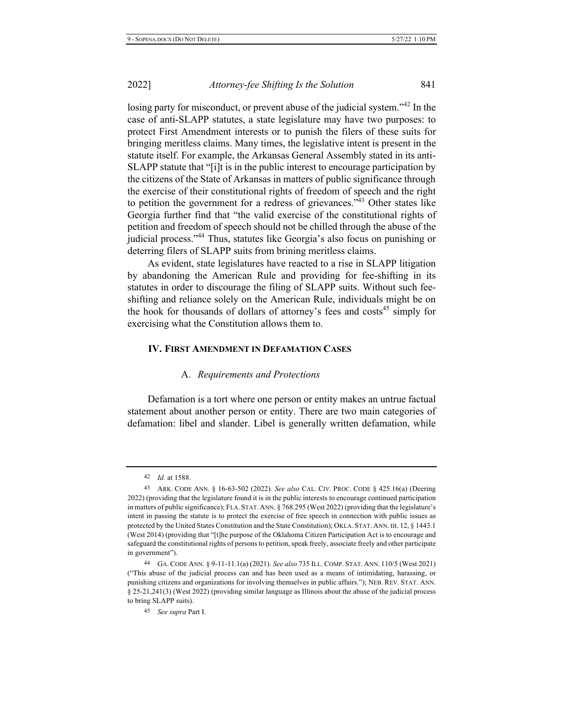losing party for misconduct, or prevent abuse of the judicial system."<sup>42</sup> In the case of anti-SLAPP statutes, a state legislature may have two purposes: to protect First Amendment interests or to punish the filers of these suits for bringing meritless claims. Many times, the legislative intent is present in the statute itself. For example, the Arkansas General Assembly stated in its anti- $SLAPP$  statute that "[i]t is in the public interest to encourage participation by the citizens of the State of Arkansas in matters of public significance through the exercise of their constitutional rights of freedom of speech and the right to petition the government for a redress of grievances." $43$  Other states like Georgia further find that "the valid exercise of the constitutional rights of petition and freedom of speech should not be chilled through the abuse of the judicial process."<sup>44</sup> Thus, statutes like Georgia's also focus on punishing or deterring filers of SLAPP suits from brining meritless claims.

As evident, state legislatures have reacted to a rise in SLAPP litigation by abandoning the American Rule and providing for fee-shifting in its statutes in order to discourage the filing of SLAPP suits. Without such feeshifting and reliance solely on the American Rule, individuals might be on the hook for thousands of dollars of attorney's fees and costs<sup>45</sup> simply for exercising what the Constitution allows them to.

# **IV. FIRST AMENDMENT IN DEFAMATION CASES**

#### A. Requirements and Protections

Defamation is a tort where one person or entity makes an untrue factual statement about another person or entity. There are two main categories of defamation: libel and slander. Libel is generally written defamation, while

<sup>42</sup> *Id.* at 1588.

<sup>43</sup> ARK. CODE ANN. § 16-63-502 (2022). See also CAL. CIV. PROC. CODE § 425.16(a) (Deering 2022) (providing that the legislature found it is in the public interests to encourage continued participation in matters of public significance); FLA. STAT. ANN. § 768.295 (West 2022) (providing that the legislature's intent in passing the statute is to protect the exercise of free speech in connection with public issues as protected by the United States Constitution and the State Constitution); OKLA. STAT. ANN. tit.  $12$ ,  $\S$  1443.1 (West 2014) (providing that "[t]he purpose of the Oklahoma Citizen Participation Act is to encourage and safeguard the constitutional rights of persons to petition, speak freely, associate freely and other participate in government").

<sup>44</sup> GA. CODE ANN. § 9-11-11.1(a) (2021). See also 735 ILL. COMP. STAT. ANN. 110/5 (West 2021) ("This abuse of the judicial process can and has been used as a means of intimidating, harassing, or punishing citizens and organizations for involving themselves in public affairs."); NEB. REV. STAT. ANN.  $\S$  25-21,241(3) (West 2022) (providing similar language as Illinois about the abuse of the judicial process to bring SLAPP suits).

<sup>&</sup>lt;sup>45</sup> *See supra* Part I.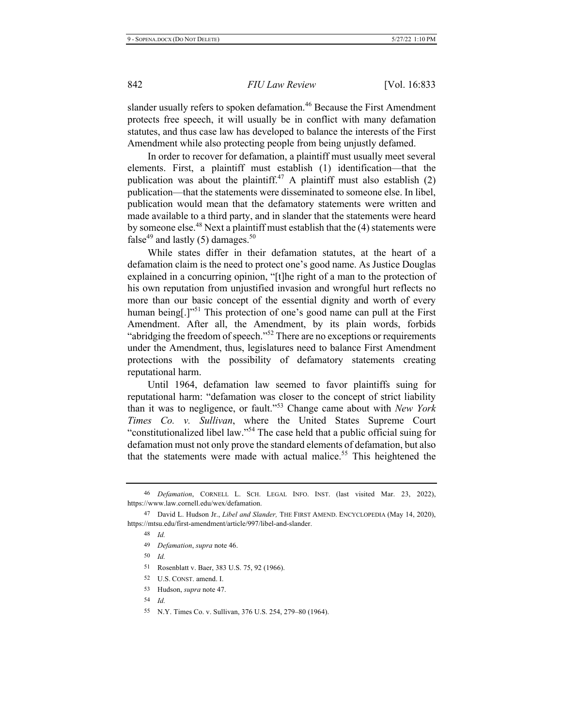slander usually refers to spoken defamation.<sup>46</sup> Because the First Amendment protects free speech, it will usually be in conflict with many defamation statutes, and thus case law has developed to balance the interests of the First Amendment while also protecting people from being unjustly defamed.

In order to recover for defamation, a plaintiff must usually meet several elements. First, a plaintiff must establish (1) identification—that the publication was about the plaintiff.<sup>47</sup> A plaintiff must also establish  $(2)$ publication—that the statements were disseminated to someone else. In libel, publication would mean that the defamatory statements were written and made available to a third party, and in slander that the statements were heard by someone else.<sup>48</sup> Next a plaintiff must establish that the  $(4)$  statements were false<sup>49</sup> and lastly (5) damages.<sup>50</sup>

While states differ in their defamation statutes, at the heart of a defamation claim is the need to protect one's good name. As Justice Douglas explained in a concurring opinion, "[t]he right of a man to the protection of his own reputation from unjustified invasion and wrongful hurt reflects no more than our basic concept of the essential dignity and worth of every human being[.]"<sup>51</sup> This protection of one's good name can pull at the First Amendment. After all, the Amendment, by its plain words, forbids "abridging the freedom of speech."<sup>52</sup> There are no exceptions or requirements under the Amendment, thus, legislatures need to balance First Amendment protections with the possibility of defamatory statements creating reputational harm.

Until 1964, defamation law seemed to favor plaintiffs suing for reputational harm: "defamation was closer to the concept of strict liability than it was to negligence, or fault."<sup>53</sup> Change came about with New York *Times Co. v. Sullivan*, where the United States Supreme Court "constitutionalized libel law."<sup>54</sup> The case held that a public official suing for defamation must not only prove the standard elements of defamation, but also that the statements were made with actual malice.<sup>55</sup> This heightened the

- 49 *Defamation, supra note 46.*
- *\$*
- 51 Rosenblatt v. Baer, 383 U.S. 75, 92 (1966).
- 52 U.S. CONST. amend. I.
- 53 Hudson, *supra* note 47.
- *\$*
- 55 N.Y. Times Co. v. Sullivan, 376 U.S. 254, 279–80 (1964).

<sup>46</sup> Defamation, CORNELL L. SCH. LEGAL INFO. INST. (last visited Mar. 23, 2022), https://www.law.cornell.edu/wex/defamation.

<sup>47</sup> David L. Hudson Jr., *Libel and Slander*, THE FIRST AMEND. ENCYCLOPEDIA (May 14, 2020), https://mtsu.edu/first-amendment/article/997/libel-and-slander.

<sup>48</sup> *kbd.*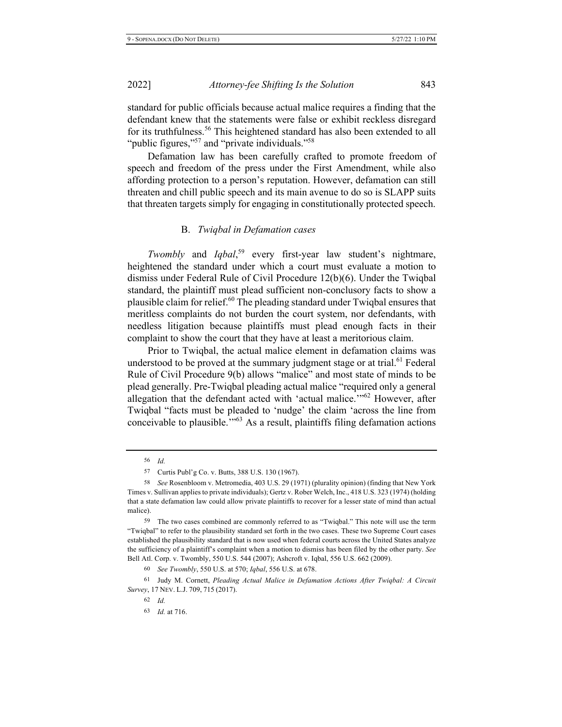standard for public officials because actual malice requires a finding that the defendant knew that the statements were false or exhibit reckless disregard for its truthfulness.<sup>56</sup> This heightened standard has also been extended to all "public figures,"<sup>57</sup> and "private individuals."<sup>58</sup>

Defamation law has been carefully crafted to promote freedom of speech and freedom of the press under the First Amendment, while also affording protection to a person's reputation. However, defamation can still threaten and chill public speech and its main avenue to do so is SLAPP suits that threaten targets simply for engaging in constitutionally protected speech.

#### **B.** Twigbal in Defamation cases

Twombly and Iqbal,<sup>59</sup> every first-year law student's nightmare, heightened the standard under which a court must evaluate a motion to dismiss under Federal Rule of Civil Procedure 12(b)(6). Under the Twiqbal standard, the plaintiff must plead sufficient non-conclusory facts to show a plausible claim for relief.<sup>60</sup> The pleading standard under Twigbal ensures that meritless complaints do not burden the court system, nor defendants, with needless litigation because plaintiffs must plead enough facts in their complaint to show the court that they have at least a meritorious claim.

Prior to Twigbal, the actual malice element in defamation claims was understood to be proved at the summary judgment stage or at trial.<sup>61</sup> Federal Rule of Civil Procedure 9(b) allows "malice" and most state of minds to be plead generally. Pre-Twiqbal pleading actual malice "required only a general allegation that the defendant acted with 'actual malice."<sup>62</sup> However, after Twiqbal "facts must be pleaded to 'nudge' the claim 'across the line from conceivable to plausible.<sup> $103$ </sup> As a result, plaintiffs filing defamation actions

<sup>56</sup> *Id.* 

<sup>57</sup> Curtis Publ'g Co. v. Butts, 388 U.S. 130 (1967).

<sup>&</sup>lt;sup>58</sup> See Rosenbloom v. Metromedia, 403 U.S. 29 (1971) (plurality opinion) (finding that New York Times v. Sullivan applies to private individuals); Gertz v. Rober Welch, Inc., 418 U.S. 323 (1974) (holding that a state defamation law could allow private plaintiffs to recover for a lesser state of mind than actual malice).

<sup>59</sup> The two cases combined are commonly referred to as "Twiqbal." This note will use the term "Twiqbal" to refer to the plausibility standard set forth in the two cases. These two Supreme Court cases established the plausibility standard that is now used when federal courts across the United States analyze the sufficiency of a plaintiff's complaint when a motion to dismiss has been filed by the other party. See Bell Atl. Corp. v. Twombly, 550 U.S. 544 (2007); Ashcroft v. Iqbal, 556 U.S. 662 (2009).

<sup>60</sup> See Twombly, 550 U.S. at 570; Iqbal, 556 U.S. at 678.

<sup>61</sup> Judy M. Cornett, Pleading Actual Malice in Defamation Actions After Twiqbal: A Circuit *Survey*, 17 NEV. L.J. 709, 715 (2017).

*\$*

<sup>63</sup> *Id.* at 716.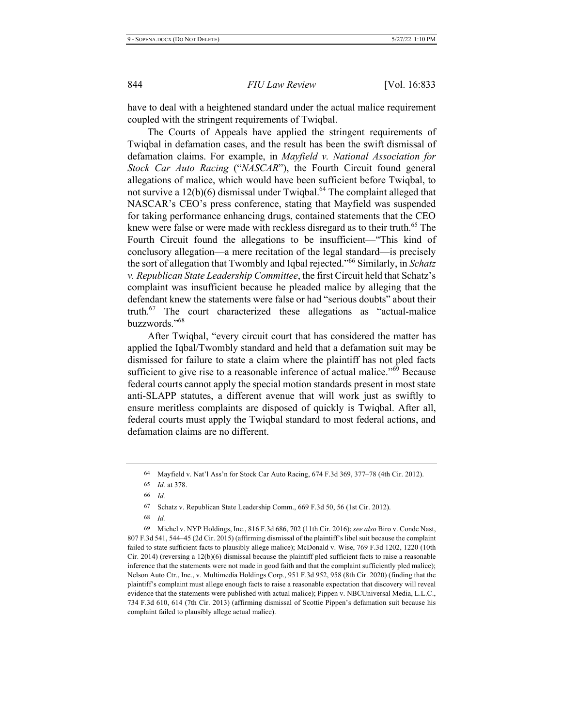have to deal with a heightened standard under the actual malice requirement coupled with the stringent requirements of Twiqbal.

The Courts of Appeals have applied the stringent requirements of Twiqbal in defamation cases, and the result has been the swift dismissal of defamation claims. For example, in *Mayfield v. National Association for* Stock Car Auto Racing ("NASCAR"), the Fourth Circuit found general allegations of malice, which would have been sufficient before Twiqbal, to not survive a  $12(b)(6)$  dismissal under Twiqbal.<sup>64</sup> The complaint alleged that NASCAR's CEO's press conference, stating that Mayfield was suspended for taking performance enhancing drugs, contained statements that the CEO knew were false or were made with reckless disregard as to their truth.<sup>65</sup> The Fourth Circuit found the allegations to be insufficient—"This kind of conclusory allegation—a mere recitation of the legal standard—is precisely the sort of allegation that Twombly and Iqbal rejected."<sup>66</sup> Similarly, in *Schatz v. Republican State Leadership Committee, the first Circuit held that Schatz's* complaint was insufficient because he pleaded malice by alleging that the defendant knew the statements were false or had "serious doubts" about their truth. $^{67}$  The court characterized these allegations as "actual-malice buzzwords."68

After Twiqbal, "every circuit court that has considered the matter has applied the Iqbal/Twombly standard and held that a defamation suit may be dismissed for failure to state a claim where the plaintiff has not pled facts sufficient to give rise to a reasonable inference of actual malice."<sup>69</sup> Because federal courts cannot apply the special motion standards present in most state anti-SLAPP statutes, a different avenue that will work just as swiftly to ensure meritless complaints are disposed of quickly is Twiqbal. After all, federal courts must apply the Twiqbal standard to most federal actions, and defamation claims are no different.

68 *kbd.* 

69 Michel v. NYP Holdings, Inc., 816 F.3d 686, 702 (11th Cir. 2016); see also Biro v. Conde Nast, 807 F.3d 541, 544–45 (2d Cir. 2015) (affirming dismissal of the plaintiff's libel suit because the complaint failed to state sufficient facts to plausibly allege malice); McDonald v. Wise, 769 F.3d 1202, 1220 (10th Cir. 2014) (reversing a  $12(b)(6)$  dismissal because the plaintiff pled sufficient facts to raise a reasonable inference that the statements were not made in good faith and that the complaint sufficiently pled malice); Nelson Auto Ctr., Inc., v. Multimedia Holdings Corp., 951 F.3d 952, 958 (8th Cir. 2020) (finding that the plaintiff's complaint must allege enough facts to raise a reasonable expectation that discovery will reveal evidence that the statements were published with actual malice); Pippen v. NBCUniversal Media, L.L.C., 734 F.3d 610, 614 (7th Cir. 2013) (affirming dismissal of Scottie Pippen's defamation suit because his complaint failed to plausibly allege actual malice).

<sup>64</sup> Mayfield v. Nat'l Ass'n for Stock Car Auto Racing,  $674$  F.3d  $369$ ,  $377-78$  (4th Cir. 2012).

<sup>65</sup> *Id.* at 378.

*\$*

<sup>67</sup> Schatz v. Republican State Leadership Comm.,  $669$  F.3d 50, 56 (1st Cir. 2012).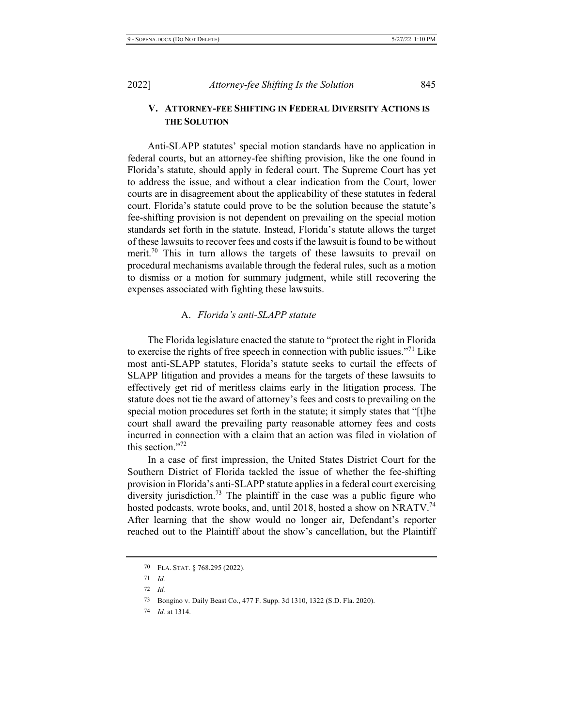# V. ATTORNEY-FEE SHIFTING IN FEDERAL DIVERSITY ACTIONS IS **THE SOLUTION**

Anti-SLAPP statutes' special motion standards have no application in federal courts, but an attorney-fee shifting provision, like the one found in Florida's statute, should apply in federal court. The Supreme Court has yet to address the issue, and without a clear indication from the Court, lower courts are in disagreement about the applicability of these statutes in federal court. Florida's statute could prove to be the solution because the statute's fee-shifting provision is not dependent on prevailing on the special motion standards set forth in the statute. Instead, Florida's statute allows the target of these lawsuits to recover fees and costs if the lawsuit is found to be without merit.<sup>70</sup> This in turn allows the targets of these lawsuits to prevail on procedural mechanisms available through the federal rules, such as a motion to dismiss or a motion for summary judgment, while still recovering the expenses associated with fighting these lawsuits.

#### A. *Florida's anti-SLAPP statute*

The Florida legislature enacted the statute to "protect the right in Florida to exercise the rights of free speech in connection with public issues."<sup>71</sup> Like most anti-SLAPP statutes, Florida's statute seeks to curtail the effects of SLAPP litigation and provides a means for the targets of these lawsuits to effectively get rid of meritless claims early in the litigation process. The statute does not tie the award of attorney's fees and costs to prevailing on the special motion procedures set forth in the statute; it simply states that "[t]he court shall award the prevailing party reasonable attorney fees and costs incurred in connection with a claim that an action was filed in violation of this section."72

In a case of first impression, the United States District Court for the Southern District of Florida tackled the issue of whether the fee-shifting provision in Florida's anti-SLAPP statute applies in a federal court exercising diversity jurisdiction.<sup>73</sup> The plaintiff in the case was a public figure who hosted podcasts, wrote books, and, until 2018, hosted a show on NRATV.<sup>74</sup> After learning that the show would no longer air, Defendant's reporter reached out to the Plaintiff about the show's cancellation, but the Plaintiff

74 *Id.* at 1314.

 $70$  FLA. STAT.  $\S$  768.295 (2022).

 $71$  *Id.* 

 $72$  *Id.* 

<sup>73</sup> Bongino v. Daily Beast Co., 477 F. Supp. 3d 1310, 1322 (S.D. Fla. 2020).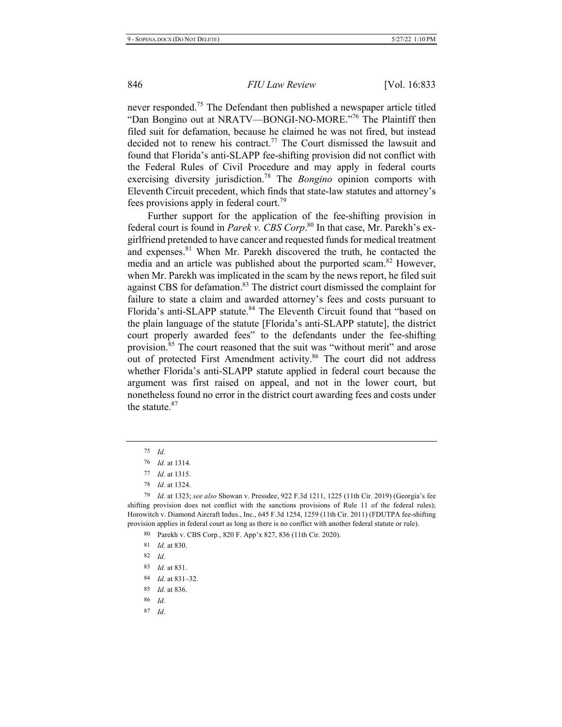never responded.<sup>75</sup> The Defendant then published a newspaper article titled "Dan Bongino out at NRATV-BONGI-NO-MORE."<sup>76</sup> The Plaintiff then filed suit for defamation, because he claimed he was not fired, but instead decided not to renew his contract.<sup>77</sup> The Court dismissed the lawsuit and found that Florida's anti-SLAPP fee-shifting provision did not conflict with the Federal Rules of Civil Procedure and may apply in federal courts exercising diversity jurisdiction.<sup>78</sup> The Bongino opinion comports with Eleventh Circuit precedent, which finds that state-law statutes and attorney's fees provisions apply in federal court.<sup>79</sup>

Further support for the application of the fee-shifting provision in federal court is found in Parek v. CBS Corp.<sup>80</sup> In that case, Mr. Parekh's exgirlfriend pretended to have cancer and requested funds for medical treatment and expenses.<sup>81</sup> When Mr. Parekh discovered the truth, he contacted the media and an article was published about the purported scam.<sup>82</sup> However, when Mr. Parekh was implicated in the scam by the news report, he filed suit against CBS for defamation.<sup>83</sup> The district court dismissed the complaint for failure to state a claim and awarded attorney's fees and costs pursuant to Florida's anti-SLAPP statute.<sup>84</sup> The Eleventh Circuit found that "based on the plain language of the statute [Florida's anti-SLAPP statute], the district court properly awarded fees" to the defendants under the fee-shifting provision.<sup>85</sup> The court reasoned that the suit was "without merit" and arose out of protected First Amendment activity.<sup>86</sup> The court did not address whether Florida's anti-SLAPP statute applied in federal court because the argument was first raised on appeal, and not in the lower court, but nonetheless found no error in the district court awarding fees and costs under the statute. $87$ 

80 Parekh v. CBS Corp., 820 F. App'x 827, 836 (11th Cir. 2020).

- 85 *Id.* at 836.
- 86 *kb*.
- *\$*

 *\$*

<sup>76</sup> *Id.* at 1314.

<sup>77</sup> *Id.* at 1315.

<sup>78</sup> *Id.* at 1324.

<sup>79</sup> *Id.* at 1323; see also Showan v. Pressdee, 922 F.3d 1211, 1225 (11th Cir. 2019) (Georgia's fee shifting provision does not conflict with the sanctions provisions of Rule 11 of the federal rules); Horowitch v. Diamond Aircraft Indus., Inc., 645 F.3d 1254, 1259 (11th Cir. 2011) (FDUTPA fee-shifting provision applies in federal court as long as there is no conflict with another federal statute or rule).

<sup>81</sup> *Id.* at 830.

 *\$*

<sup>83</sup> *Id.* at 831.

<sup>84</sup>  $Id.$  at  $831 - 32.$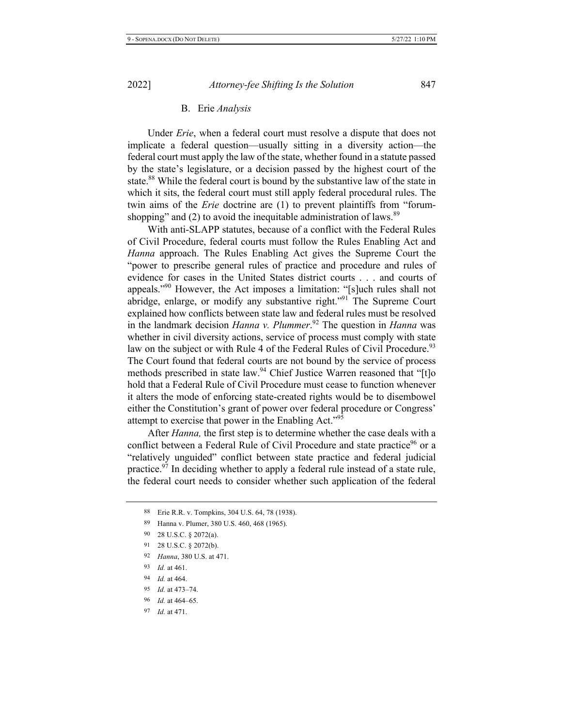#### **B.** Erie Analysis

Under *Erie*, when a federal court must resolve a dispute that does not implicate a federal question—usually sitting in a diversity action—the federal court must apply the law of the state, whether found in a statute passed by the state's legislature, or a decision passed by the highest court of the state.<sup>88</sup> While the federal court is bound by the substantive law of the state in which it sits, the federal court must still apply federal procedural rules. The twin aims of the *Erie* doctrine are (1) to prevent plaintiffs from "forumshopping" and (2) to avoid the inequitable administration of laws.  $89$ 

With anti-SLAPP statutes, because of a conflict with the Federal Rules of Civil Procedure, federal courts must follow the Rules Enabling Act and *Hanna* approach. The Rules Enabling Act gives the Supreme Court the "power to prescribe general rules of practice and procedure and rules of evidence for cases in the United States district courts . . . and courts of appeals."<sup>90</sup> However, the Act imposes a limitation: "[s]uch rules shall not abridge, enlarge, or modify any substantive right."<sup>91</sup> The Supreme Court explained how conflicts between state law and federal rules must be resolved in the landmark decision *Hanna v. Plummer*.<sup>92</sup> The question in *Hanna* was whether in civil diversity actions, service of process must comply with state law on the subject or with Rule 4 of the Federal Rules of Civil Procedure.<sup>93</sup> The Court found that federal courts are not bound by the service of process methods prescribed in state law.<sup>94</sup> Chief Justice Warren reasoned that "[t]o hold that a Federal Rule of Civil Procedure must cease to function whenever it alters the mode of enforcing state-created rights would be to disembowel either the Constitution's grant of power over federal procedure or Congress' attempt to exercise that power in the Enabling Act."<sup>95</sup>

After *Hanna*, the first step is to determine whether the case deals with a conflict between a Federal Rule of Civil Procedure and state practice<sup>96</sup> or a "relatively unguided" conflict between state practice and federal judicial practice.<sup>97</sup> In deciding whether to apply a federal rule instead of a state rule, the federal court needs to consider whether such application of the federal

92 Hanna, 380 U.S. at 471.

- 95 *Id.* at 473–74.
- 96 *Id.* at 464–65.
- 97 *Id.* at 471.

<sup>88</sup> 8 Erie R.R. v. Tompkins, 304 U.S. 64, 78 (1938).

<sup>89</sup> 9 Hanna v. Plumer, 380 U.S. 460, 468 (1965).

<sup>-</sup>0 28 U.S.C.  $\S$  2072(a).

 $91$  28 U.S.C. § 2072(b).

<sup>93</sup> *Id.* at 461.

<sup>94</sup> *Id.* at 464.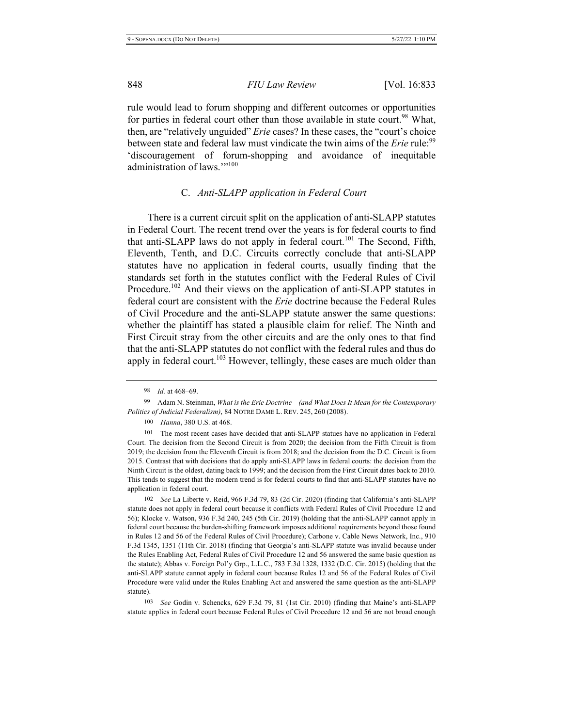rule would lead to forum shopping and different outcomes or opportunities for parties in federal court other than those available in state court.<sup>98</sup> What, then, are "relatively unguided" *Erie* cases? In these cases, the "court's choice between state and federal law must vindicate the twin aims of the *Erie* rule:<sup>99</sup> discouragement of forum-shopping and avoidance of inequitable administration of laws.""100

# C. Anti-SLAPP application in Federal Court

There is a current circuit split on the application of anti-SLAPP statutes in Federal Court. The recent trend over the years is for federal courts to find that anti-SLAPP laws do not apply in federal court.<sup>101</sup> The Second, Fifth, Eleventh, Tenth, and D.C. Circuits correctly conclude that anti-SLAPP statutes have no application in federal courts, usually finding that the standards set forth in the statutes conflict with the Federal Rules of Civil Procedure.<sup>102</sup> And their views on the application of anti-SLAPP statutes in federal court are consistent with the *Erie* doctrine because the Federal Rules of Civil Procedure and the anti-SLAPP statute answer the same questions: whether the plaintiff has stated a plausible claim for relief. The Ninth and First Circuit stray from the other circuits and are the only ones to that find that the anti-SLAPP statutes do not conflict with the federal rules and thus do apply in federal court.<sup>103</sup> However, tellingly, these cases are much older than

102 2 See La Liberte v. Reid, 966 F.3d 79, 83 (2d Cir. 2020) (finding that California's anti-SLAPP statute does not apply in federal court because it conflicts with Federal Rules of Civil Procedure 12 and 56); Klocke v. Watson, 936 F.3d 240, 245 (5th Cir. 2019) (holding that the anti-SLAPP cannot apply in federal court because the burden-shifting framework imposes additional requirements beyond those found in Rules 12 and 56 of the Federal Rules of Civil Procedure); Carbone v. Cable News Network, Inc., 910 F.3d 1345, 1351 (11th Cir. 2018) (finding that Georgia's anti-SLAPP statute was invalid because under the Rules Enabling Act, Federal Rules of Civil Procedure 12 and 56 answered the same basic question as the statute); Abbas v. Foreign Pol'y Grp., L.L.C., 783 F.3d 1328, 1332 (D.C. Cir. 2015) (holding that the anti-SLAPP statute cannot apply in federal court because Rules 12 and 56 of the Federal Rules of Civil Procedure were valid under the Rules Enabling Act and answered the same question as the anti-SLAPP statute).

103 3 See Godin v. Schencks, 629 F.3d 79, 81 (1st Cir. 2010) (finding that Maine's anti-SLAPP statute applies in federal court because Federal Rules of Civil Procedure 12 and 56 are not broad enough

<sup>98</sup> *Id.* at 468–69.

<sup>99</sup> Adam N. Steinman, What is the Erie Doctrine – (and What Does It Mean for the Contemporary *Politics of Judicial Federalism)*, 84 NOTRE DAME L. REV. 245, 260 (2008).

<sup>100</sup> Hanna, 380 U.S. at 468.

<sup>101</sup> The most recent cases have decided that anti-SLAPP statues have no application in Federal Court. The decision from the Second Circuit is from 2020; the decision from the Fifth Circuit is from 2019; the decision from the Eleventh Circuit is from 2018; and the decision from the D.C. Circuit is from 2015. Contrast that with decisions that do apply anti-SLAPP laws in federal courts: the decision from the Ninth Circuit is the oldest, dating back to 1999; and the decision from the First Circuit dates back to 2010. This tends to suggest that the modern trend is for federal courts to find that anti-SLAPP statutes have no application in federal court.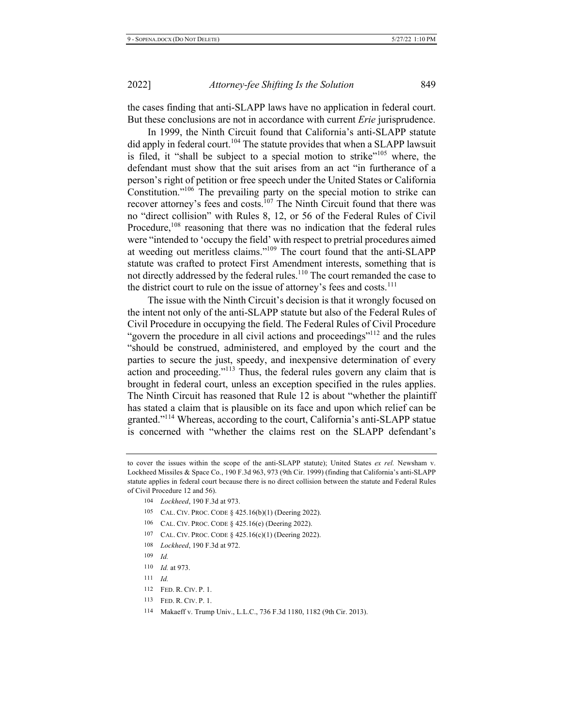the cases finding that anti-SLAPP laws have no application in federal court. But these conclusions are not in accordance with current *Erie* jurisprudence.

In 1999, the Ninth Circuit found that California's anti-SLAPP statute did apply in federal court.<sup>104</sup> The statute provides that when a SLAPP lawsuit is filed, it "shall be subject to a special motion to strike"<sup>105</sup> where, the defendant must show that the suit arises from an act "in furtherance of a person's right of petition or free speech under the United States or California Constitution." $106$ <sup>The</sup> prevailing party on the special motion to strike can recover attorney's fees and costs.<sup>107</sup> The Ninth Circuit found that there was no "direct collision" with Rules 8, 12, or 56 of the Federal Rules of Civil Procedure,<sup>108</sup> reasoning that there was no indication that the federal rules were "intended to 'occupy the field' with respect to pretrial procedures aimed at weeding out meritless claims."<sup>109</sup> The court found that the anti-SLAPP statute was crafted to protect First Amendment interests, something that is not directly addressed by the federal rules.<sup>110</sup> The court remanded the case to the district court to rule on the issue of attorney's fees and costs.<sup>111</sup>

The issue with the Ninth Circuit's decision is that it wrongly focused on the intent not only of the anti-SLAPP statute but also of the Federal Rules of Civil Procedure in occupying the field. The Federal Rules of Civil Procedure "govern the procedure in all civil actions and proceedings"<sup>112</sup> and the rules "should be construed, administered, and employed by the court and the parties to secure the just, speedy, and inexpensive determination of every action and proceeding."<sup>113</sup> Thus, the federal rules govern any claim that is brought in federal court, unless an exception specified in the rules applies. The Ninth Circuit has reasoned that Rule 12 is about "whether the plaintiff has stated a claim that is plausible on its face and upon which relief can be granted."<sup>114</sup> Whereas, according to the court, California's anti-SLAPP statue is concerned with "whether the claims rest on the SLAPP defendant's

- 106 CAL. CIV. PROC. CODE  $\S$  425.16(e) (Deering 2022).
- 107 CAL. CIV. PROC. CODE  $\S$  425.16(c)(1) (Deering 2022).
- 108 *Lockheed*, 190 F.3d at 972.
- $109$  *Id.*
- 110 *Id.* at 973.
- $111$  *Id.*
- 112 FED. R. CIV. P. 1.
- 113 FED. R. CIV. P. 1.
- 114 Makaeff v. Trump Univ., L.L.C., 736 F.3d 1180, 1182 (9th Cir. 2013).

to cover the issues within the scope of the anti-SLAPP statute); United States ex rel. Newsham v. Lockheed Missiles & Space Co., 190 F.3d 963, 973 (9th Cir. 1999) (finding that California's anti-SLAPP statute applies in federal court because there is no direct collision between the statute and Federal Rules of Civil Procedure 12 and 56).

<sup>104</sup> *Lockheed*, 190 F.3d at 973.

<sup>105</sup> CAL. CIV. PROC. CODE  $\S$  425.16(b)(1) (Deering 2022).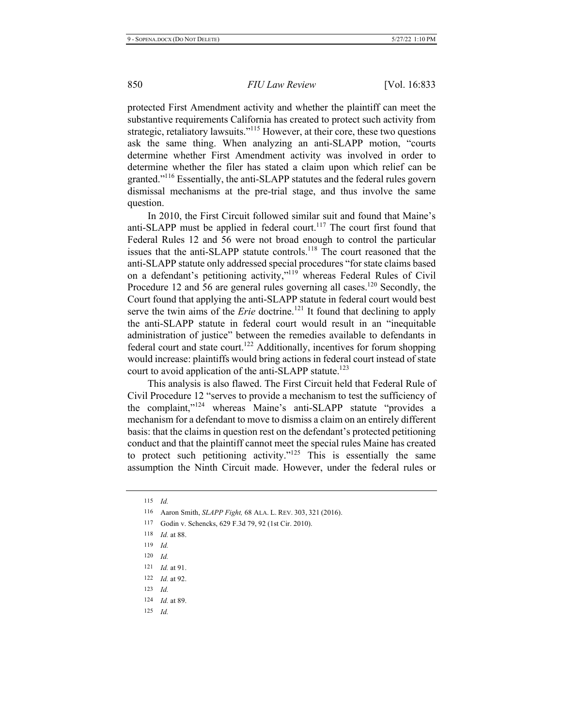protected First Amendment activity and whether the plaintiff can meet the substantive requirements California has created to protect such activity from strategic, retaliatory lawsuits."<sup>115</sup> However, at their core, these two questions ask the same thing. When analyzing an anti-SLAPP motion, "courts determine whether First Amendment activity was involved in order to determine whether the filer has stated a claim upon which relief can be granted."<sup>116</sup> Essentially, the anti-SLAPP statutes and the federal rules govern dismissal mechanisms at the pre-trial stage, and thus involve the same question.

In 2010, the First Circuit followed similar suit and found that Maine's anti-SLAPP must be applied in federal court.<sup>117</sup> The court first found that Federal Rules 12 and 56 were not broad enough to control the particular issues that the anti-SLAPP statute controls.<sup>118</sup> The court reasoned that the anti-SLAPP statute only addressed special procedures "for state claims based on a defendant's petitioning activity,"<sup>119</sup> whereas Federal Rules of Civil Procedure 12 and 56 are general rules governing all cases.<sup>120</sup> Secondly, the Court found that applying the anti-SLAPP statute in federal court would best serve the twin aims of the *Erie* doctrine.<sup>121</sup> It found that declining to apply the anti-SLAPP statute in federal court would result in an "inequitable administration of justice" between the remedies available to defendants in federal court and state court.<sup>122</sup> Additionally, incentives for forum shopping would increase: plaintiffs would bring actions in federal court instead of state court to avoid application of the anti-SLAPP statute.<sup>123</sup>

This analysis is also flawed. The First Circuit held that Federal Rule of Civil Procedure 12 "serves to provide a mechanism to test the sufficiency of the complaint,"<sup>124</sup> whereas Maine's anti-SLAPP statute "provides a mechanism for a defendant to move to dismiss a claim on an entirely different basis: that the claims in question rest on the defendant's protected petitioning conduct and that the plaintiff cannot meet the special rules Maine has created to protect such petitioning activity."<sup>125</sup> This is essentially the same assumption the Ninth Circuit made. However, under the federal rules or

| 115 | Id                                                                 |  |
|-----|--------------------------------------------------------------------|--|
| 116 | Aaron Smith, <i>SLAPP Fight</i> , 68 ALA. L. REV. 303, 321 (2016). |  |
| 117 | Godin v. Schencks, 629 F.3d 79, 92 (1st Cir. 2010).                |  |
| 118 | <i>Id.</i> at 88.                                                  |  |
| 119 | Id                                                                 |  |
| 120 | $Id$ .                                                             |  |
| 121 | <i>Id.</i> at 91.                                                  |  |
|     | 122 <i>Id.</i> at 92.                                              |  |
| 123 | Id                                                                 |  |
| 124 | <i>Id.</i> at 89.                                                  |  |
| 125 | Id                                                                 |  |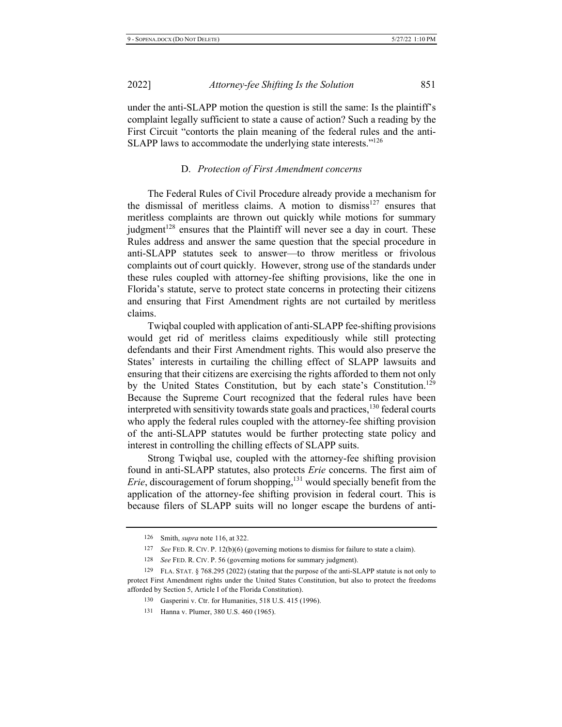under the anti-SLAPP motion the question is still the same: Is the plaintiff's complaint legally sufficient to state a cause of action? Such a reading by the First Circuit "contorts the plain meaning of the federal rules and the anti-SLAPP laws to accommodate the underlying state interests." $126$ 

#### **D.** Protection of First Amendment concerns

The Federal Rules of Civil Procedure already provide a mechanism for the dismissal of meritless claims. A motion to dismiss<sup>127</sup> ensures that meritless complaints are thrown out quickly while motions for summary judgment<sup>128</sup> ensures that the Plaintiff will never see a day in court. These Rules address and answer the same question that the special procedure in anti-SLAPP statutes seek to answer—to throw meritless or frivolous complaints out of court quickly. However, strong use of the standards under these rules coupled with attorney-fee shifting provisions, like the one in Florida's statute, serve to protect state concerns in protecting their citizens and ensuring that First Amendment rights are not curtailed by meritless claims.

Twiqbal coupled with application of anti-SLAPP fee-shifting provisions would get rid of meritless claims expeditiously while still protecting defendants and their First Amendment rights. This would also preserve the States' interests in curtailing the chilling effect of SLAPP lawsuits and ensuring that their citizens are exercising the rights afforded to them not only by the United States Constitution, but by each state's Constitution.<sup>129</sup> Because the Supreme Court recognized that the federal rules have been interpreted with sensitivity towards state goals and practices,  $^{130}$  federal courts who apply the federal rules coupled with the attorney-fee shifting provision of the anti-SLAPP statutes would be further protecting state policy and interest in controlling the chilling effects of SLAPP suits.

Strong Twiqbal use, coupled with the attorney-fee shifting provision found in anti-SLAPP statutes, also protects *Erie* concerns. The first aim of *Erie*, discouragement of forum shopping,<sup>131</sup> would specially benefit from the application of the attorney-fee shifting provision in federal court. This is because filers of SLAPP suits will no longer escape the burdens of anti-

131 Hanna v. Plumer, 380 U.S. 460 (1965).

<sup>126</sup> Smith, *supra* note 116, at 322.

<sup>&</sup>lt;sup>127</sup> See FED. R. CIV. P. 12(b)(6) (governing motions to dismiss for failure to state a claim).

<sup>128</sup> *See FED. R. CIV. P. 56 (governing motions for summary judgment).* 

<sup>129</sup> FLA. STAT. § 768.295 (2022) (stating that the purpose of the anti-SLAPP statute is not only to protect First Amendment rights under the United States Constitution, but also to protect the freedoms afforded by Section 5, Article I of the Florida Constitution).

<sup>130</sup> Gasperini v. Ctr. for Humanities, 518 U.S. 415 (1996).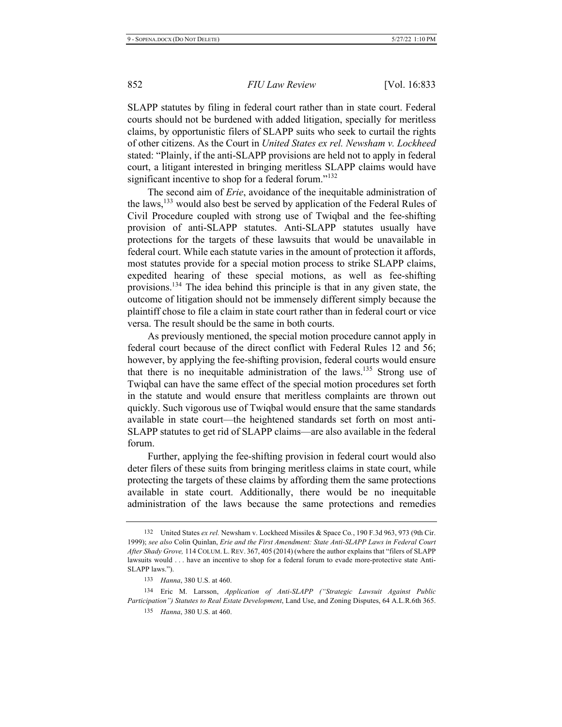SLAPP statutes by filing in federal court rather than in state court. Federal courts should not be burdened with added litigation, specially for meritless claims, by opportunistic filers of SLAPP suits who seek to curtail the rights of other citizens. As the Court in United States ex rel. Newsham v. Lockheed stated: "Plainly, if the anti-SLAPP provisions are held not to apply in federal court, a litigant interested in bringing meritless SLAPP claims would have significant incentive to shop for a federal forum."<sup>132</sup>

The second aim of *Erie*, avoidance of the inequitable administration of the laws,<sup>133</sup> would also best be served by application of the Federal Rules of Civil Procedure coupled with strong use of Twiqbal and the fee-shifting provision of anti-SLAPP statutes. Anti-SLAPP statutes usually have protections for the targets of these lawsuits that would be unavailable in federal court. While each statute varies in the amount of protection it affords, most statutes provide for a special motion process to strike SLAPP claims, expedited hearing of these special motions, as well as fee-shifting provisions.<sup>134</sup> The idea behind this principle is that in any given state, the outcome of litigation should not be immensely different simply because the plaintiff chose to file a claim in state court rather than in federal court or vice versa. The result should be the same in both courts.

As previously mentioned, the special motion procedure cannot apply in federal court because of the direct conflict with Federal Rules 12 and 56; however, by applying the fee-shifting provision, federal courts would ensure that there is no inequitable administration of the laws.<sup>135</sup> Strong use of Twiqbal can have the same effect of the special motion procedures set forth in the statute and would ensure that meritless complaints are thrown out quickly. Such vigorous use of Twigbal would ensure that the same standards available in state court—the heightened standards set forth on most anti-SLAPP statutes to get rid of SLAPP claims—are also available in the federal forum.

Further, applying the fee-shifting provision in federal court would also deter filers of these suits from bringing meritless claims in state court, while protecting the targets of these claims by affording them the same protections available in state court. Additionally, there would be no inequitable administration of the laws because the same protections and remedies

<sup>132</sup> United States ex rel. Newsham v. Lockheed Missiles & Space Co., 190 F.3d 963, 973 (9th Cir. 1999); see also Colin Quinlan, *Erie and the First Amendment: State Anti-SLAPP Laws in Federal Court* After Shady Grove, 114 COLUM. L. REV. 367, 405 (2014) (where the author explains that "filers of SLAPP" lawsuits would . . . have an incentive to shop for a federal forum to evade more-protective state Anti-SLAPP laws.").

<sup>133</sup> *Hanna*, 380 U.S. at 460.

<sup>134</sup> Eric M. Larsson, Application of Anti-SLAPP ("Strategic Lawsuit Against Public *Participation") Statutes to Real Estate Development, Land Use, and Zoning Disputes, 64 A.L.R.6th 365.* 

<sup>135</sup> *Hanna*, 380 U.S. at 460.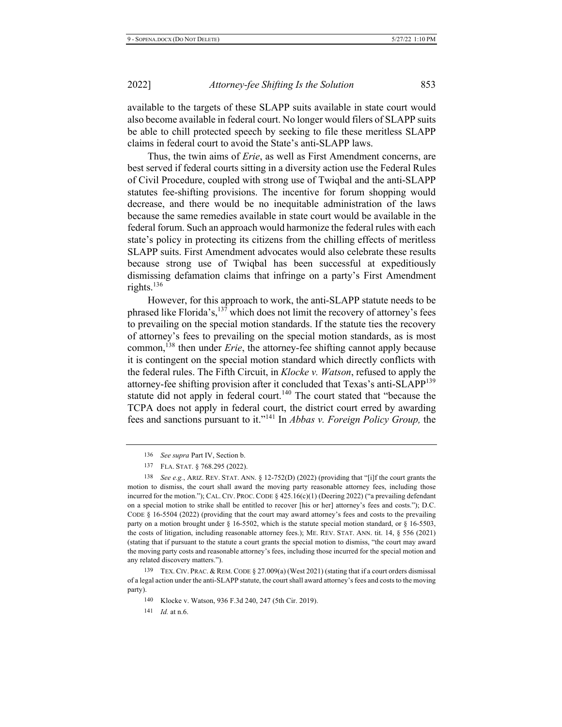available to the targets of these SLAPP suits available in state court would also become available in federal court. No longer would filers of SLAPP suits be able to chill protected speech by seeking to file these meritless SLAPP claims in federal court to avoid the State's anti-SLAPP laws.

Thus, the twin aims of *Erie*, as well as First Amendment concerns, are best served if federal courts sitting in a diversity action use the Federal Rules of Civil Procedure, coupled with strong use of Twiqbal and the anti-SLAPP statutes fee-shifting provisions. The incentive for forum shopping would decrease, and there would be no inequitable administration of the laws because the same remedies available in state court would be available in the federal forum. Such an approach would harmonize the federal rules with each state's policy in protecting its citizens from the chilling effects of meritless SLAPP suits. First Amendment advocates would also celebrate these results because strong use of Twiqbal has been successful at expeditiously dismissing defamation claims that infringe on a party's First Amendment rights. $136$ 

However, for this approach to work, the anti-SLAPP statute needs to be phrased like Florida's,<sup>137</sup> which does not limit the recovery of attorney's fees to prevailing on the special motion standards. If the statute ties the recovery of attorney's fees to prevailing on the special motion standards, as is most common,<sup>138</sup> then under *Erie*, the attorney-fee shifting cannot apply because it is contingent on the special motion standard which directly conflicts with the federal rules. The Fifth Circuit, in *Klocke v. Watson*, refused to apply the attorney-fee shifting provision after it concluded that Texas's anti-SLAPP<sup>139</sup> statute did not apply in federal court.<sup>140</sup> The court stated that "because the TCPA does not apply in federal court, the district court erred by awarding fees and sanctions pursuant to it."<sup>141</sup> In *Abbas v. Foreign Policy Group*, the

139 TEX. CIV. PRAC. & REM. CODE § 27.009(a) (West 2021) (stating that if a court orders dismissal of a legal action under the anti-SLAPP statute, the court shall award attorney's fees and costs to the moving party).

141 *Id.* at n.6.

<sup>136</sup> *See supra Part IV*, Section b.

<sup>137</sup> FLA. STAT. § 768.295 (2022).

<sup>138</sup> See e.g., ARIZ. REV. STAT. ANN. § 12-752(D) (2022) (providing that "[i]f the court grants the motion to dismiss, the court shall award the moving party reasonable attorney fees, including those incurred for the motion."); CAL. CIV. PROC. CODE  $\S$  425.16(c)(1) (Deering 2022) ("a prevailing defendant on a special motion to strike shall be entitled to recover [his or her] attorney's fees and costs."); D.C. CODE § 16-5504 (2022) (providing that the court may award attorney's fees and costs to the prevailing party on a motion brought under § 16-5502, which is the statute special motion standard, or § 16-5503, the costs of litigation, including reasonable attorney fees.); ME. REV. STAT. ANN. tit.  $14, \S$  556 (2021) (stating that if pursuant to the statute a court grants the special motion to dismiss, "the court may award the moving party costs and reasonable attorney's fees, including those incurred for the special motion and any related discovery matters.").

<sup>140</sup> Klocke v. Watson, 936 F.3d 240, 247 (5th Cir. 2019).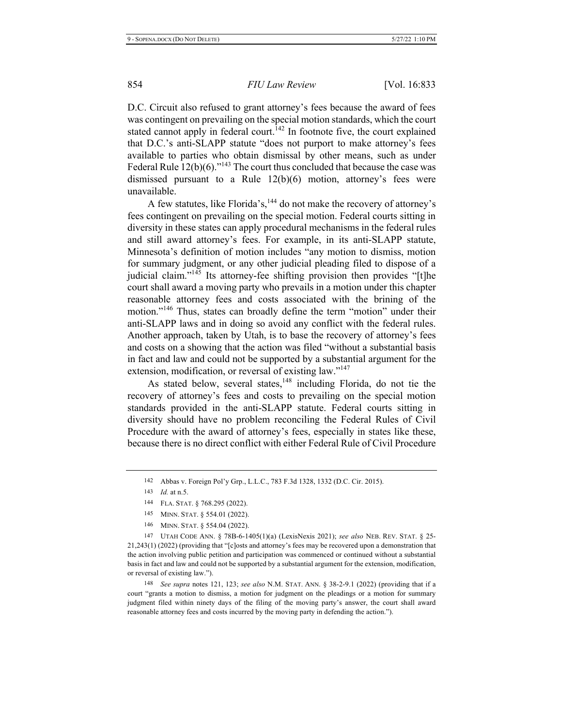D.C. Circuit also refused to grant attorney's fees because the award of fees was contingent on prevailing on the special motion standards, which the court stated cannot apply in federal court.<sup>142</sup> In footnote five, the court explained that D.C.'s anti-SLAPP statute "does not purport to make attorney's fees available to parties who obtain dismissal by other means, such as under Federal Rule  $12(b)(6)$ ."<sup>143</sup> The court thus concluded that because the case was dismissed pursuant to a Rule  $12(b)(6)$  motion, attorney's fees were unavailable.

A few statutes, like Florida's,<sup>144</sup> do not make the recovery of attorney's fees contingent on prevailing on the special motion. Federal courts sitting in diversity in these states can apply procedural mechanisms in the federal rules and still award attorney's fees. For example, in its anti-SLAPP statute, Minnesota's definition of motion includes "any motion to dismiss, motion for summary judgment, or any other judicial pleading filed to dispose of a judicial claim." $145$  Its attorney-fee shifting provision then provides "[t]he court shall award a moving party who prevails in a motion under this chapter reasonable attorney fees and costs associated with the brining of the motion."<sup>146</sup> Thus, states can broadly define the term "motion" under their anti-SLAPP laws and in doing so avoid any conflict with the federal rules. Another approach, taken by Utah, is to base the recovery of attorney's fees and costs on a showing that the action was filed "without a substantial basis" in fact and law and could not be supported by a substantial argument for the extension, modification, or reversal of existing law."<sup>147</sup>

As stated below, several states,  $148$  including Florida, do not tie the recovery of attorney's fees and costs to prevailing on the special motion standards provided in the anti-SLAPP statute. Federal courts sitting in diversity should have no problem reconciling the Federal Rules of Civil Procedure with the award of attorney's fees, especially in states like these, because there is no direct conflict with either Federal Rule of Civil Procedure

- 145 MINN. STAT. § 554.01 (2022).
- 146 MINN. STAT. § 554.04 (2022).

147 UTAH CODE ANN. § 78B-6-1405(1)(a) (LexisNexis 2021); see also NEB. REV. STAT. § 25- $21,243(1)$  (2022) (providing that "[c]osts and attorney's fees may be recovered upon a demonstration that the action involving public petition and participation was commenced or continued without a substantial basis in fact and law and could not be supported by a substantial argument for the extension, modification, or reversal of existing law.").

148 See supra notes 121, 123; see also N.M. STAT. ANN. § 38-2-9.1 (2022) (providing that if a court "grants a motion to dismiss, a motion for judgment on the pleadings or a motion for summary judgment filed within ninety days of the filing of the moving party's answer, the court shall award reasonable attorney fees and costs incurred by the moving party in defending the action.").

<sup>142</sup> Abbas v. Foreign Pol'y Grp., L.L.C., 783 F.3d 1328, 1332 (D.C. Cir. 2015).

<sup>143</sup> *Id.* at n.5.

<sup>144</sup> FLA. STAT. § 768.295 (2022).